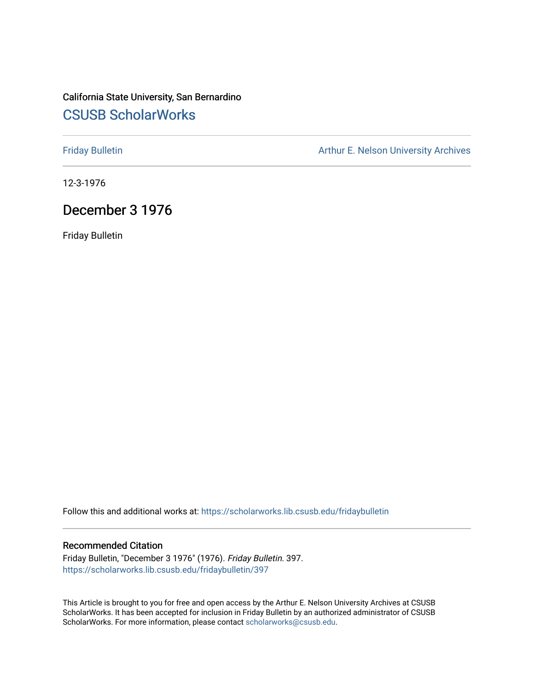## California State University, San Bernardino [CSUSB ScholarWorks](https://scholarworks.lib.csusb.edu/)

[Friday Bulletin](https://scholarworks.lib.csusb.edu/fridaybulletin) **Arthur E. Nelson University Archives** Arthur E. Nelson University Archives

12-3-1976

## December 3 1976

Friday Bulletin

Follow this and additional works at: [https://scholarworks.lib.csusb.edu/fridaybulletin](https://scholarworks.lib.csusb.edu/fridaybulletin?utm_source=scholarworks.lib.csusb.edu%2Ffridaybulletin%2F397&utm_medium=PDF&utm_campaign=PDFCoverPages)

## Recommended Citation

Friday Bulletin, "December 3 1976" (1976). Friday Bulletin. 397. [https://scholarworks.lib.csusb.edu/fridaybulletin/397](https://scholarworks.lib.csusb.edu/fridaybulletin/397?utm_source=scholarworks.lib.csusb.edu%2Ffridaybulletin%2F397&utm_medium=PDF&utm_campaign=PDFCoverPages)

This Article is brought to you for free and open access by the Arthur E. Nelson University Archives at CSUSB ScholarWorks. It has been accepted for inclusion in Friday Bulletin by an authorized administrator of CSUSB ScholarWorks. For more information, please contact [scholarworks@csusb.edu.](mailto:scholarworks@csusb.edu)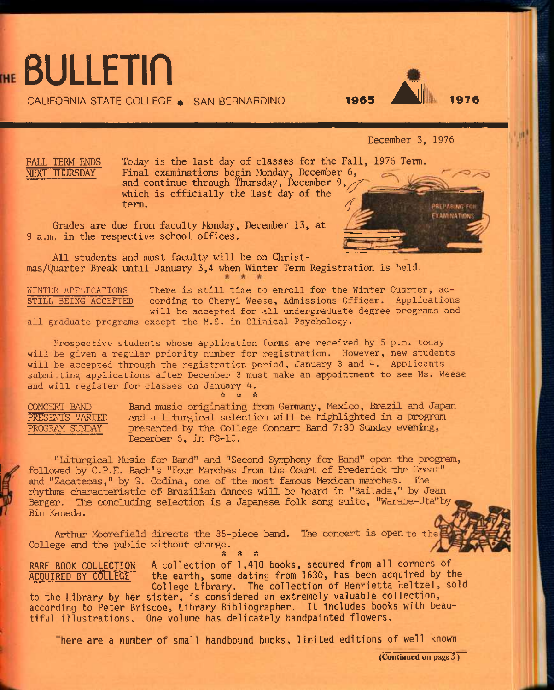# **ABULLETIN**

CALIFORNIA STATE COLLEGE • SAN BERNARDINO **1965 •II <sup>1976</sup>**

### December 3, 1976

FALL TERM ENDS NEXT THURSDAY

Today is the last day of classes for the Fall, 1976 Term. Final examinations begin Monday, December 6, and continue through Thursday, December  $9, /$ which is officially the last day of the term. term.  $\mathcal{I}$ 

Grades are due from faculty Monday, December 13, at 9 a.m. in the respective school offices.

**PREPARING FOR EXAMINATION:** 

All students and most faculty will be on Christmas/Quarter Break until January 3,4 when Winter Term Registration is held.

WINTER APPLICATIONS **STILL** BEING ACCEPTED There is still time to enroll for the Winter Quarter, according to Cheryl Weese, Admissions Officer. Applications will be accepted for all undergraduate degree programs and all graduate programs except the M.S. in Clinical Psychology.

Prospective students whose application forms are received by 5 p.m. today will be given a regular priority number for registration. However, new students will be accepted through the registration period, January 3 and 4. Applicants submitting applications after December 3 must make an appointment to see Ms. Weese and will register for classes on January 4.

*'h* jV A

CONCERT BAND PRESENTS VARIED PROGRAM SUNDAY Band music originating from Germany, Mexico, Brazil and Japan and a liturgical selection will be highlighted in a program presented by the College Concert Band 7:30 Sunday evening, December 5, in PS-10.

"Liturgical Music for Band" and "Second Symphony for Band" open the program, followed by C.P.E. Bach's "Four Marches from the Court of Frederick the Great" and "Zacatecas," by G. Codina, one of the most famous Mexican marches. The rhythms characteristic of Brazilian dances will be heard in "Bailada," by Jean Berger. The concluding selection is a Japanese folk song suite, "Warabe-Uta"by Bin Kaneda.

Arthur Moorefield directs the 35-piece band. The concert is open to the College and the public without charge.  $\mathbf{A} = \mathbf{A} + \mathbf{A}$ 



ACQUIRED BY COLLEGE

RARE BOOK COLLECTION A collection of 1,410 books, secured from all corners of the earth, some dating from 1630, has been acquired by the College Library. The collection of Henrietta Heltzel, sold

to the Library by her sister, is considered an extremely valuable collection, according to Peter Briscoe, Library Bibliographer. It includes books with beautiful illustrations. One volume has delicately handpainted flowers.

There are a number of small handbound books, limited editions of well known

**(Continued on page ?)**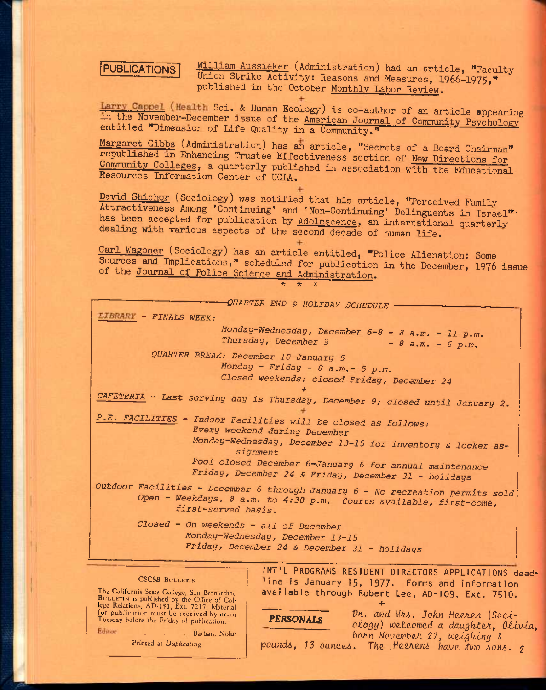**PUBLICATIONS William Aussieker** (Administration) had an article, "Faculty Union Strike Activity: Reasons and Measures, 1966-1975," published in the October Monthly Labor Review.

Larry Cappel (Health Sci. & Human Ecology) is co-author of an article appearing in the November-December issue of the American Journal of Community Psychology entitled "Dimension of Life Quality in a Community."

Margaret Gibbs (Administration) has an article, "Secrets of a Board Chairman" republished in Enhancing Trustee Effectiveness section of New Directions for Community Colleges, a quarterly published in association with the Educational Resources Information Center of UCLA.

David Shichor (Sociology) was notified that his article, "Perceived Family Attractiveness Among 'Continuing' and 'Non-Continuing' Delinguents in Israel"'' has been accepted for publication by Adolescence, an international quarterly dealing with various aspects of the second decade of human life.

Carl Wagoner (Sociology) has an article entitled, "Police Alienation: Some Sources and Implications," scheduled for publication in the December, **I976** issue of the Journal of Police Science and Administration. \* \* \*

*- FINALS WEEK: -{QUARTER END & HOLIDAY SCHEDULE Monday-Wednesday, December 6-8 - 8 a.m, - 11 p,m. Thursday, December 9 -8 a.m. - 6 p.m. QUARTER BREAK: December 10-January 5 Monday - Friday - 8 a.m.- 5 p.m. Closed weekends; closed Friday, December 24 + CAFETERIA - Last Serving day is Thursday, December 9; closed until January 2. P.E. FACILITIES - Indoor Facilities will be closed as follows: Every weekend during December Monday-Wednesday, December 13-15 for Inventory s locker assignment Pool closed December 6-Janyary 6 for annual maintenance Friday, December 24 s Friday, December 31 - holidays Outdoor Facilities - December 6 through January 6 - No recreation permits sold Open - Weekdays, 8 a.m. to 4:30 p.m. Courts available, first-come, first-served basis. Closed - On weekends - all of December Monday-Wednesday, December 13-15* 

*Friday, December 24 & December 31 - holidays* 

### CSCSB **Bi;lletin**

The California State College, San Bernardino<br>BULLETIN is published by the Office of Col-<br>lege Relations, AD-151, Ext. 7217. Material<br>for publication must be received by noon<br>Tuesday before the Friday of publication.

Editor . Barbara Nolte

Printed at Duplicating

INT'L PROGRAMS RESIDENT DIRECTORS APPLICATIONS deadline is January 15, 1977. Forms and information available through Robert Lee, AD-109, Ext. 7510. **+** 

*PERSONALS* 

 $\n *Dr.*\n and *Mrs.* John Heeren (Soci$ *ology] welcomed a daughteA, OUvla,*  born November 27, weighing 8

pounds, 13 ounces. The Heerens have two sons. 2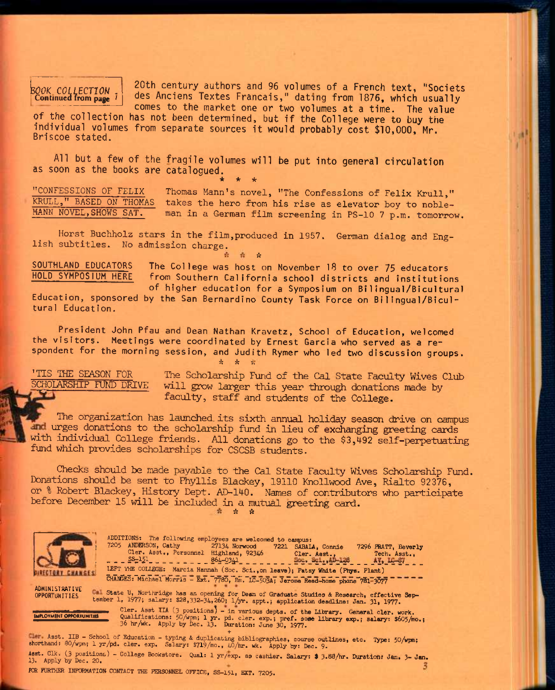## I *ISOOK C0LLBCT70N ,*  **Continued from page '**

20th century authors and 96 volumes of a French text, "Societs des Anciens Textes Francais," dating from 1876, which usually comes to the market one or two volumes at a time. The value

of the collection has not been determined, but if the College were to buy the individual volumes from separate sources it would probably cost \$10,000, Mr. Briscoe stated.

All but a few of the fragile volumes will be put into general circulation as soon as the books are catalogued. **\* \* \*** 

"CONFESSIONS OF FELIX Thomas Mann's novel, "The Confessions of Felix Krull," KRULL," BASED ON THOMAS takes the hero from his rise as elevator boy to nobleman in a German film screening in PS-10 7 p.m. tomorrow.

Horst Buchholz stars in the film,produced in 1957. German dialog and English subtitles. No admission charge.

sV

SOUTHLAND EDUCATORS The College was host on November 18 to over 75 educators from Southern California school districts and institutions

of higher education for a Symposium on Bi1ingual/Bicultural Education, sponsored by the San Bernardino County Task Force on Bi1ingual/Bicultural Education.

President John Pfau and Dean Nathan Kravetz, School of Education, welcomed the visitors. Meetings were coordinated by Ernest Garcia who served as a respondent for the morning session, and Judith Rymer who led two discussion groups.

*^ ^ is* 

'TIS THE SEASON FOR The Scholarship Fund of the Cal State Faculty Wives Club<br>SCHOLARSHIP FUND DRIVE will grow larger this year through donations made by will grow larger this year through donations made by faculty, staff and students of the College.

The organization has launched its sixth annual holiday season drive on campus and urges donations to the scholarship fund in lieu of exchanging greeting cards with individual College friends. All donations go to the \$3,492 self-perpetuating fund which provides scholarships for CSCSB students.

Checks should be made payable to the Cal State Faculty Wives Scholarship Fund. Donations should be sent to Phyllis Blackey, 19110 Knollwood Ave, Rialto 92376, or % Robert Blackey, History Dept. AD-140. Names of contributors who participate before December 15 will be included in a mutual greeting card. A ft

> IEFT THE COLLEGE: Marcia Hannah (Soc. Sci.,on leave); Patsy White (Phys. Plant)  $\overline{\text{CHANGES}}$ : Michael Morris - Ext. 7780, Rm. LC-503A; Jerome Reed-home phone 781-3077

**ADMINISTRATIVE** 

OPPORTUNITIES State U, Northridge has an opening for Dean of Graduate Studies 4 Research, effective Sep-tember 1, 1977; salary: \$28,332-34,260; l/yr. appt.; application deadline: Jan. 31, 1977. Cler. Asst IIA (3 positions) - in various depts. of the Library. General cler. work. MALICOFFORTUNITIB Qualifications: 50/wpm; 1 yr. pd. cler. exp.; pref. some library exp.; salary: \$605/mo.; 36 hr/wk. Apply by Dec. 13. Duration: June 30, 1977.

ANDERSON, Cathy 27134 Norwood 7221 SABAIA, Connie 7296 FRATT, Beverly<br>Cler. Asst., Personnel Highland, 92346 Cler. Asst., Tech. Asst., Cler. Asst., Personnel Highland, 92346 Cler. Asst., Tech. Asst., Tech. Asst., SS-151

<sup>+</sup><br>shorthand: 80/wpm; 1 yr/pd. cler. exp. Salary: \$719/mo., 40/hr. wk. Apply by: Dec. 9.<br>shorthand: 80/wpm; 1 yr/pd. cler. exp. Salary: \$719/mo., 40/hr. wk. Apply by: Dec. 9. Asst. Clk. (3 positions) - College Bookstore. Qual: 1 yr/exp. as cashier. Salary: \$ 3.88/hr. Duration: Jan. 3- Jan. 3- Jan.

ADDITIONS: The following employees are welcomed to campus:<br>7205 ANDERSON, Cathy 27134 Norwood 7221 SABAL

POR FURTHER INFORMATION CONTACT THE PERSONNEL OFFICE, SS-151, EXT. 7205.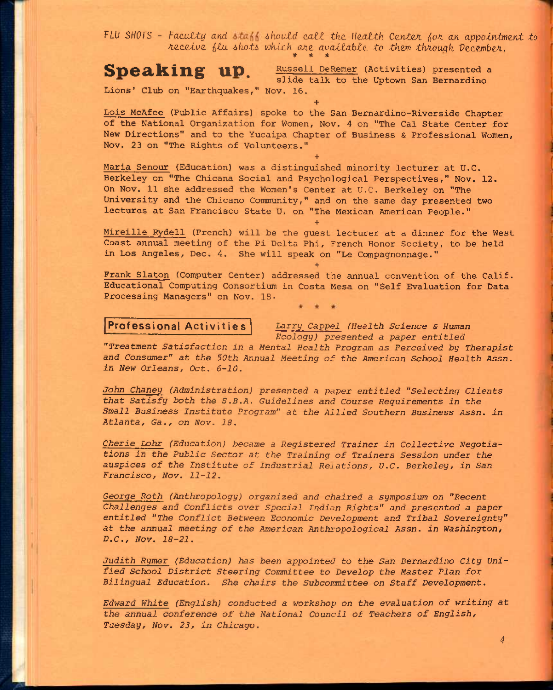FLU SHOTS - Faculty and sta<sub>nd</sub> should call the Health Center for an appointment to *fieccive ilu 6koti, wklch aae available to them thkouqh VecembeA.*  **\* \* \*** 

**+** 

**+** 

Speaking up. Russell DeRemer (Activities) presented a slide talk to the Uptown San Bernardino

Lions' Club on "Earthquakes," Nov. 16,

Lois McAfee (Public Affairs) spoke to the San Bernardino-Riverside Chapter of the National Organization for Women, Nov. 4 on "The Cal State Center for New Directions" and to the Yucaipa Chapter of Business & Professional Women, Nov. 23 on "The Rights of Volunteers."

Maria Senour (Education) was a distinguished minority lecturer at U.C. Berkeley on "The Chicana Social and Psychological Perspectives," Nov. 12. On Nov. 11 she addressed the Women's Center at U.C. Berkeley on "The University and the Chicano Community," and on the same day presented two lectures at San Francisco State U. on "The Mexican American People."

Mireille Rydell (French) will be the guest lecturer at a dinner for the West Coast annual meeting of the Pi Delta Phi, French Honor Society, to be held in Los Angeles, Dec. 4. She will speak on "Le Compagnonnage."

**+** 

**+** 

Frank Slaton (Computer Center) addressed the annual convention of the Calif. Educational Computing Consortium in Costa Mesa on "Self Evaluation for Data Processing Managers" on Nov. 18•

Professional Activities *Larry Cappel (Health Science S Human Ecology) presented a paper entitled* 

*"Treatment Satisfaction in a Mental Health Program as Perceived by Therapist and Consumer" at the 50th Annual Meeting of the American School Health Assn. in New Orleans, Oct. 6-10.* 

*John Chaney (Administration) presented a paper entitled "Selecting Clients that Satisfy both the S.B.A. Guidelines and Course Requirements in the Small Business Institute Program" at the Allied Southern Business Assn. in Atlanta, Ga., on Nov. 18.* 

*Cherie Lohr (Education) became a Registered Trainer in Collective Negotiations in the Public Sector at the Training of Trainers Session under the auspices of the Institute of Industrial Relations, U.C. Berkeley, in San Francisco, Nov. 11-12.* 

*George Roth (Anthropology) organized and chaired a symposium on "Recent Challenges and Conflicts over Special Indian Rights" and presented a paper entitled "The Conflict Between Economic Development and Tribal Sovereignty" at the annual meeting of the American Anthropological Assn. in Washington, D.C., Nov. 18-21.* 

*Judith Rymer (Education) has been appointed to the San Bernardino City Unified School District Steering Committee to Develop the Master Plan for Bilingual Education. She chairs the Subcommittee on Staff Development.* 

*Edward White (English) conducted a workshop on the evaluation of writing at the annual conference of the National Council of Teachers of English, Tuesday, Nov. 23, in Chicago.*